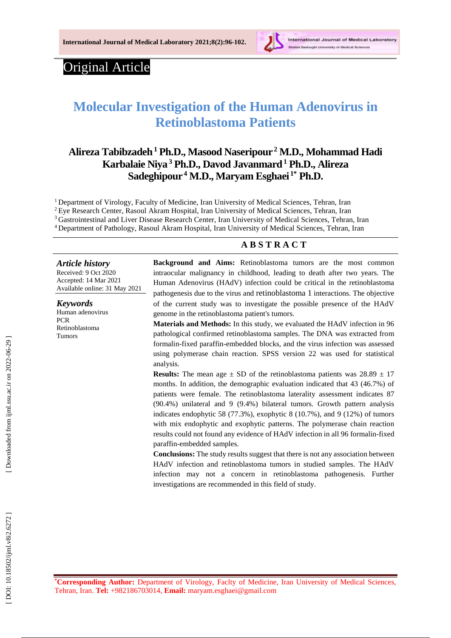

# Original Article

# **Molecular Investigation of the Human Adenovirus in Retinoblastoma Patients**

# **Alireza Tabibzadeh <sup>1</sup> Ph.D ., Masood Naseripour 2 M . D., Mohammad Hadi Karbalaie Niya <sup>3</sup> Ph.D., Davod Javanmard <sup>1</sup> Ph.D., Alireza Sadeghipour 4 M . D., Maryam Esghaei 1 \* Ph.D .**

<sup>1</sup> Department of Virology, Faculty of Medicine, Iran University of Medical Sciences, Tehran, Iran <sup>2</sup> Eye Research Center, Rasoul Akram Hospital, Iran University of Medical Sciences, Tehran, Iran <sup>3</sup> Gastrointestinal and Liver Disease Research Center, Iran University of Medical Sciences, Tehran, Iran <sup>4</sup>Department of Pathology, Rasoul Akram Hospital, Iran University of Medical Sciences, Tehran, Iran

#### **A B S T R A C T**

*Article history* Received: 9 Oct 2020

Accepted : 14 Mar 202 1 Available online : 3 1 May 20 2 1

*Keywords* Human adenovirus PCR Retinoblastoma Tumors

**Background and Aims:** Retinoblastoma tumors are the most common intraocular malignancy in childhood, leading to death after two years. The Human Adenovirus (H AdV) infection could be critical in the retinoblastoma pathogenesis due to the virus and retinoblastoma 1 interactions. The objective of the current study was to investigate the possible presence of the HAdV genome in the retinoblastoma patient's tumors.

**Materials and Methods :** In this study, we evaluated the HAdV infection in 96 pathological confirmed retinoblastoma samples. The DNA was extracted from formalin -fixed paraffin -embedded blocks, and the virus infection was assessed using polymerase chain reaction. SPSS version 22 was used for statistical analysis.

**Results:** The mean age  $\pm$  SD of the retinoblastoma patients was  $28.89 \pm 17$ months. In addition, the demographic evaluation indicated that 43 (46.7%) of patients were female. The retinoblastoma laterality assessment indicates 87 (90.4%) unilateral and 9 (9.4%) bilateral tumors. Growth pattern analysis indicates endophytic 58 (77.3%), exophytic 8 (10.7%), and 9 (12%) of tumors with mix endophytic and exophytic patterns. The polymerase chain reaction results could not found any evidence of HAdV infection in all 96 formalin -fixed paraffin -embedded samples.

**Conclusions:** The study results suggest that there is not any association between HAdV infection and retinoblastoma tumors in studied samples. The HAdV infection may not a concern in retinoblastoma pathogenesis. Further investigations are recommended in this field of study.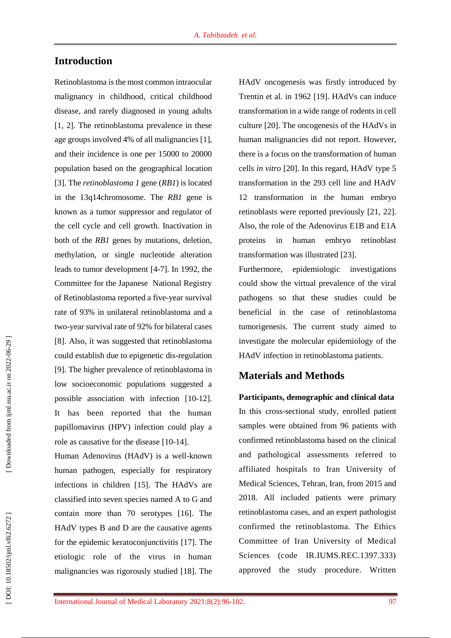## **Introduction**

Retinoblastoma is the most common intraocular malignancy in childhood, critical childhood disease, and rarely diagnosed in young adults [1, 2]. The retinoblastoma prevalence in these age groups involved 4% of all malignancies [1], and their incidence is one per 15000 to 20000 population based on the geographical location [3]. The *retinoblastoma 1* gene (*RB1*) is located in the 13q14chromosome. The *RB1* gene is known as a tumor suppressor and regulator of the cell cycle and cell growth. Inactivation in both of the *RB1* genes by mutations, deletion, methylation, or single nucleotide alteration leads to tumor development [4 -7]. In 1992, the Committee for the Japanese National Registry of Retinoblastoma reported a five -year survival rate of 93% in unilateral retinoblastoma and a two -year survival rate of 92% for bilateral cases [8]. Also, it was suggested that retinoblastoma could establish due to epigenetic dis -regulation [9]. The higher prevalence of retinoblastoma in low socioeconomic populations suggested a possible association with infection [10 -12]. It has been reported that the human papillomavirus (HPV) infection could play a role as causative for the disease [10 -14] .

Human Adenovirus (HAdV) is a well -known human pathogen, especially for respiratory infections in children [15]. The HAdVs are classified into seven species named A to G and contain more than 70 serotypes [16]. The HAdV types B and D are the causative agents for the epidemic keratoconjunctivitis [17]. The etiologic role of the virus in human malignancies was rigorously studied [18]. The

HAdV oncogenesis was firstly introduced by Trentin et al. in 1962 [19]. HAdVs can induce transformation in a wide range of rodents in cell culture [20]. The oncogenesis of the HAdVs in human malignancies did not report. However, there is a focus on the transformation of human cells *in vitro* [20]. In this regard, HAdV type 5 transformation in the 293 cell line and HAdV 12 transformation in the human embryo retinoblasts were reported previously [21, 22]. Also, the role of the Adenovirus E1B and E1A proteins in human embryo retinoblast transformation was illustrated [23].

Furthermore, epidemiologic investigations could show the virtual prevalence of the viral pathogens so that these studies could be beneficial in the case of retinoblastoma tumorigenesis. The current study aimed to investigate the molecular epidemiology of the HAdV infection in retinoblastoma patients.

## **Materials and Methods**

**Participants, demographic and clinical data** In this cross -sectional study, enrolled patient samples were obtained from 96 patients with confirmed retinoblastoma based on the clinical and pathological assessments referred to affiliated hospitals to Iran University of Medical Sciences, Tehran, Iran, from 2015 and 2018. All included patients were primary retinoblastoma cases, and an expert pathologist confirmed the retinoblastoma. The Ethics Committee of Iran University of Medical Sciences (code IR.IUMS.REC.1397.333) approved the study procedure. Written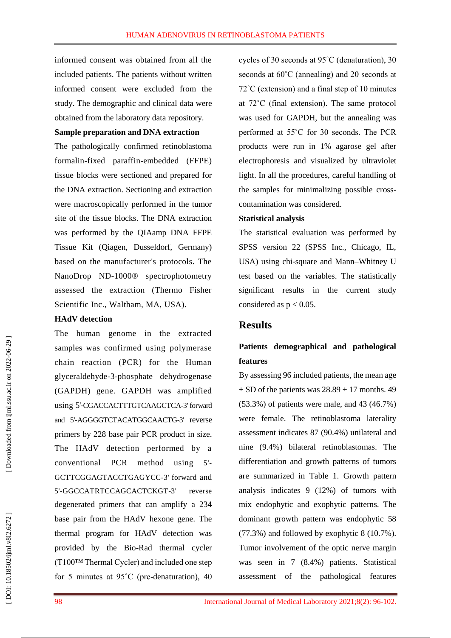informed consent was obtained from all the included patients. The patients without written informed consent were excluded from the study. The demographic and clinical data were obtained from the laboratory data repository.

#### **Sample preparation and DNA extraction**

The pathologically confirmed retinoblastoma formalin -fixed paraffin -embedded (FFPE) tissue blocks were sectioned and prepared for the DNA extraction. Sectioning and extraction were macroscopically performed in the tumor site of the tissue blocks. The DNA extraction was performed by the QIAamp DNA FFPE Tissue Kit (Qiagen, Dusseldorf, Germany) based on the manufacturer's protocols. The NanoDrop ND -1000® spectrophotometry assessed the extraction (Thermo Fisher Scientific Inc., Waltham, MA, USA).

#### **HAdV detection**

The human genome in the extracted samples was confirmed using polymerase chain reaction (PCR ) for the Human glyceraldehyde - 3 -phosphate dehydrogenase (GAPDH) gene. GAPDH was amplified using 5' -CGACCACTTTGTCAAGCTCA -3' forward and 5' -AGGGGTCTACATGGCAACTG -3' reverse primers by 228 base pair PCR product in size. The HAdV detection performed by a conventional PCR method using 5' - GCTTCGGAGTACCTGAGYCC -3' forward and 5' -GGCCATRTCCAGCACTCKGT reverse degenerated primers that can amplify a 234 base pair from the HAdV hexone gene. The thermal program for HAdV detection was provided by the Bio -Rad thermal cycler (T100™ Thermal Cycler) and included one step for 5 minutes at 95˚C (pre -denaturation), 40 cycles of 30 seconds at 95˚C (denaturation), 30 seconds at 60˚C (annealing) and 20 seconds at 72˚C (extension) and a final step of 10 minutes at 72˚C (final extension). The same protocol was used for GAPDH, but the annealing was performed at 55˚C for 30 seconds. The PCR products were run in 1% agarose gel after electrophoresis and visualized by ultraviolet light. In all the procedures, careful handling of the samples for minimalizing possible cross contamination was considered.

#### **Statistical analysis**

The statistical evaluation was performed by SPSS version 22 (SPSS Inc., Chicago, IL, USA) using chi -square and Mann –Whitney U test based on the variables. The statistically significant results in the current study considered as  $p < 0.05$ .

### **Results**

# **Patients demographical and pathological features**

By assessing 96 included patients, the mean age  $\pm$  SD of the patients was 28.89  $\pm$  17 months. 49 (53.3%) of patients were male, and 43 (46.7%) were female. The retinoblastoma laterality assessment indicates 87 (90.4%) unilateral and nine (9.4%) bilateral retinoblastomas. The differentiation and growth patterns of tumors are summarized in Table 1. Growth pattern analysis indicates 9 (12%) of tumors with mix endophytic and exophytic patterns. The dominant growth pattern was endophytic 58 (77.3%) and followed by exophytic 8 (10.7%). Tumor involvement of the optic nerve margin was seen in 7 (8.4%) patients. Statistical assessment of the pathological features

DOI: 10.18502/ijml.v8i2.6272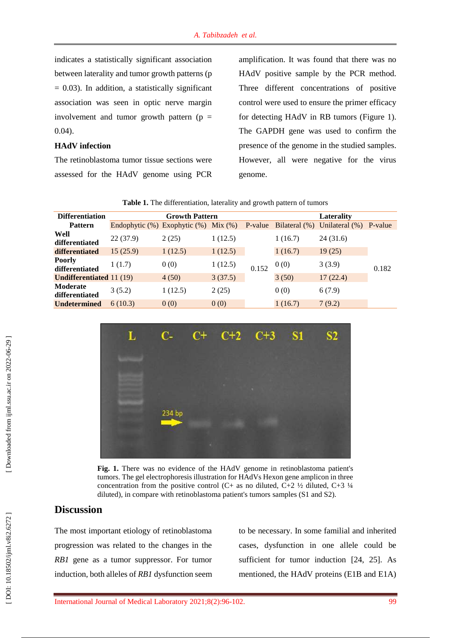#### **HAdV infection**

The retinoblastoma tumor tissue sections were assessed for the HAdV genome using PCR

amplification. It was found that there was no HAdV positive sample by the PCR method. Three different concentrations of positive control were used to ensure the primer efficacy for detecting HAdV in RB tumors (Figure 1). The GAPDH gene was used to confirm the presence of the genome in the studied samples. However, all were negative for the virus genome.

| <b>Differentiation</b>          | <b>Growth Pattern</b>              |         |           |         | Laterality    |                   |         |  |
|---------------------------------|------------------------------------|---------|-----------|---------|---------------|-------------------|---------|--|
| <b>Pattern</b>                  | Endophytic $(\%)$ Exophytic $(\%)$ |         | $Mix$ (%) | P-value | Bilateral (%) | Unilateral $(\%)$ | P-value |  |
| Well<br>differentiated          | 22(37.9)                           | 2(25)   | 1(12.5)   | 0.152   | 1(16.7)       | 24(31.6)          | 0.182   |  |
| differentiated                  | 15(25.9)                           | 1(12.5) | 1(12.5)   |         | 1(16.7)       | 19(25)            |         |  |
| Poorly<br>differentiated        | 1(1.7)                             | 0(0)    | 1(12.5)   |         | 0(0)          | 3(3.9)            |         |  |
| <b>Undifferentiated</b> 11 (19) |                                    | 4(50)   | 3(37.5)   |         | 3(50)         | 17(22.4)          |         |  |
| Moderate<br>differentiated      | 3(5.2)                             | 1(12.5) | 2(25)     |         | 0(0)          | 6(7.9)            |         |  |
| <b>Undetermined</b>             | 6(10.3)                            | 0(0)    | 0(0)      |         | 1(16.7)       | 7(9.2)            |         |  |
|                                 |                                    |         |           |         |               |                   |         |  |

**Table 1.** The differentiation, laterality and growth pattern of tumors



**Fig . 1.** There was no evidence of the HAdV genome in retinoblastoma patient's tumors. The gel electrophoresis illustration for HAdVs Hexon gene amplicon in three concentration from the positive control (C+ as no diluted, C+2  $\frac{1}{2}$  diluted, C+3  $\frac{1}{4}$ diluted), in compare with retinoblastoma patient's tumors samples (S1 and S2).

## **Discussion**

The most important etiology of retinoblastoma progression was related to the changes in the *RB1* gene as a tumor suppressor. For tumor induction, both alleles of *RB1* dysfunction seem to be necessary. In some familial and inherited cases, dysfunction in one allele could be sufficient for tumor induction [24, 25]. As mentioned, the HAdV proteins (E1B and E1A)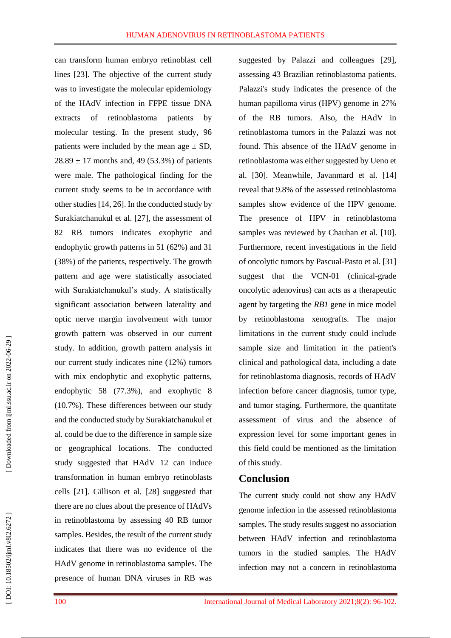can transform human embryo retinoblast cell lines [23] . The objective of the current study was to investigate the molecular epidemiology of the HAdV infection in FFPE tissue DNA extracts of retinoblastoma patients by molecular testing. In the present study, 96 patients were included by the mean age  $\pm$  SD,  $28.89 \pm 17$  months and, 49 (53.3%) of patients were male. The pathological finding for the current study seems to be in accordance with other studies [14, 26]. In the conducted study by Surakiatchanukul et al. [27], the assessment of 82 RB tumors indicates exophytic and endophytic growth patterns in 51 (62%) and 31 (38%) of the patients, respectively. The growth pattern and age were statistically associated with Surakiatchanukul's study. A statistically significant association between laterality and optic nerve margin involvement with tumor growth pattern was observed in our current study. In addition, growth pattern analysis in our current study indicates nine (12%) tumors with mix endophytic and exophytic patterns, endophytic 58 (77.3%), and exophytic 8 (10.7%). These differences between our study and the conducted study by Surakiatchanukul et al. could be due to the difference in sample size or geographical locations . The conducted study suggested that HAdV 12 can induce transformation in human embryo retinoblasts cells [21]. Gillison et al. [28] suggested that there are no clues about the presence of HAdVs in retinoblastoma by assessing 40 RB tumor samples. Besides, the result of the current study indicates that there was no evidence of the HAdV genome in retinoblastoma samples. The presence of human DNA viruses in RB was

suggested by Palazzi and colleagues [29], assessing 43 Brazilian retinoblastoma patients. Palazzi's study indicates the presence of the human papilloma virus (HPV) genome in 27% of the RB tumors. Also, the HAdV in retinoblastoma tumors in the Palazzi was not found. This absence of the HAdV genome in retinoblastoma was either suggested by Ueno et al. [30] . Meanwhile, Javanmard et al. [14] reveal that 9.8% of the assessed retinoblastoma samples show evidence of the HPV genome. The presence of HPV in retinoblastoma samples was reviewed by Chauhan et al. [10]. Furthermore, recent investigations in the field of oncolytic tumors by Pascual -Pasto et al. [31] suggest that the VCN -01 (clinical -grade oncolytic adenovirus) can acts as a therapeutic agent by targeting the *RB1* gene in mice model by retinoblastoma xenografts. The major limitations in the current study could include sample size and limitation in the patient's clinical and pathological data, including a date for retinoblastoma diagnosis, records of HAdV infection before cancer diagnosis, tumor type, and tumor staging. Furthermore, the quantitate assessment of virus and the absence of expression level for some important genes in this field could be mentioned as the limitation of this study.

## **Conclusion**

The current study could not show any HAdV genome infection in the assessed retinoblastoma samples. The study results suggest no association between HAdV infection and retinoblastoma tumors in the studied samples. The HAdV infection may not a concern in retinoblastoma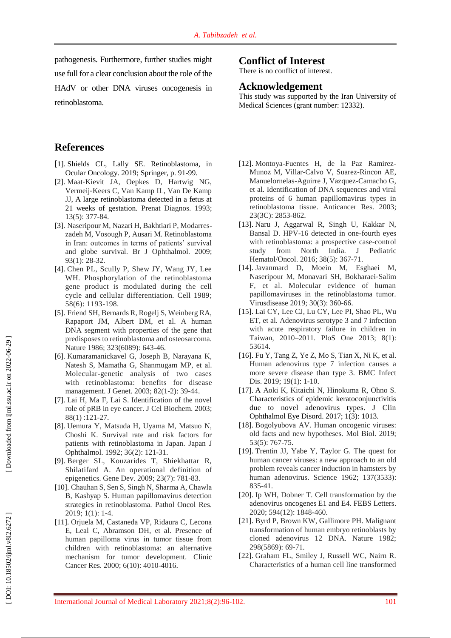pathogenesis. Furthermore, further studies might use full for a clear conclusion about the role of the HAdV or other DNA viruses oncogenesis in retinoblastoma.

## **References**

- [1]. Shields CL , Lally SE . Retinoblastoma, in Ocular Oncology. 2019 ; Springer , p. 91 -99.
- [2]. Maat ‐Kievit JA, Oepkes D, Hartwig NG, Vermeij ‐Keers C, Van Kamp IL, Van De Kamp JJ , A large retinoblastoma detected in a fetus at 21 weeks of gestation. Prenat Diagnos. 1993; 13(5): 377 -84 .
- [3]. Naseripour M, Nazari H, Bakhtiari P, Modarres zadeh M, Vosough P, Ausari M. Retinoblastoma in Iran: outcomes in terms of patients' survival and globe survival. Br J Ophthalmol. 2009 ; 93(1): 28 -32.
- [4]. Chen PL, Scully P, Shew JY, Wang JY, Lee WH. Phosphorylation of the retinoblastoma gene product is modulated during the cell cycle and cellular differentiation. Cell 1989 ; 58(6): 1193 -19 8 .
- [5]. Friend SH, Bernards R, Rogelj S, Weinberg RA, Rapaport JM, Albert DM, et al . A human DNA segment with properties of the gene that predisposes to retinoblastoma and osteosarcoma. Nature 1986; 323(6089): 643-46.
- [6]. Kumaramanickavel G, Joseph B, Narayana K, Natesh S, Mamatha G, Shanmugam MP, et al . Molecular -genetic analysis of two cases with retinoblastoma: benefits for disease management. J Genet. 2003; 82(1-2): 39-44.
- [7]. Lai H, Ma F, Lai S. Identification of the novel role of pRB in eye cancer. J Cel Biochem . 2003 ; 88(1):121-27.
- [8]. Uemura Y, Matsuda H, Uyama M, Matsuo N, Choshi K. Survival rate and risk factors for patients with retinoblastoma in Japan. Japan J Ophthalmol. 1992; 36(2): 121-31.
- [9]. Berger SL, Kouzarides T, Shiekhattar R, Shilatifard A. An operational definition of epigenetics. Gene Dev. 2009 ; 23(7): 781 - 83.
- [10]. Chauhan S, Sen S, Singh N, Sharma A, Chawla B, Kashyap S. Human papillomavirus detection strategies in retinoblastoma. Pathol Oncol Res. 2019; 1(1): 1-4.
- [11]. Orjuela M, Castaneda VP, Ridaura C, Lecona E, Leal C, Abramson DH, et al . Presence of human papilloma virus in tumor tissue from children with retinoblastoma: an alternative mechanism for tumor development. Clinic Cancer Res. 2000; 6(10): 4010-4016.

## **Conflict of Interest**

There is no conflict of interest.

### **Acknowledgement**

This study was supported by the Iran University of Medical Sciences (grant number: 12332).

- [12]. Montoya -Fuentes H, de la Paz Ramirez Munoz M, Villar -Calvo V, Suarez -Rincon AE, Manuelornelas -Aguirre J, Vazquez -Camacho G, et al. Identification of DNA sequences and viral proteins of 6 human papillomavirus types in retinoblastoma tissue. Anticancer Res . 2003 ; 23(3C): 2853 - 862 .
- [13]. Naru J, Aggarwal R, Singh U, Kakkar N, Bansal D. HPV -16 detected in one -fourth eyes with retinoblastoma: a prospective case -control study from North India. J Pediatric Hematol/Oncol. 2016; 38(5): 367-71.
- [14]. Javanmard D, Moein M, Esghaei M, Naseripour M, Monavari SH, Bokharaei ‐Salim F, et al. Molecular evidence of human papillomaviruses in the retinoblastoma tumor. Virusdisease 2019; 30(3): 360-66.
- [15]. Lai CY, Lee CJ, Lu CY, Lee PI, Shao PL, Wu ET, et al . Adenovirus serotype 3 and 7 infection with acute respiratory failure in children in Taiwan, 2010 –2011. PloS One 2013; 8(1): 53614 .
- [16]. Fu Y, Tang Z, Ye Z, Mo S, Tian X, Ni K, et al . Human adenovirus type 7 infection causes a more severe disease than type 3. BMC Infect Dis. 2019; 19(1): 1-10.
- [17]. A Aoki K, Kitaichi N, Hinokuma R, Ohno S. Characteristics of epidemic keratoconjunctivitis due to novel adenovirus types. J Clin Ophthalmol Eye Disord. 2017; 1(3) : 1013.
- [18]. Bogolyubova AV. Human oncogenic viruses: old facts and new hypotheses. Mol Biol. 2019; 53(5): 767 -75 .
- [19]. Trentin JJ, Yabe Y, Taylor G. The quest for human cancer viruses: a new approach to an old problem reveals cancer induction in hamsters by human adenovirus. Science 1962 ; 137(3533): 835 -41 .
- [20]. Ip WH, Dobner T. Cell transformation by the adenovirus oncogenes E1 and E4. FEBS Letters. 2020; 594(12): 1848 - 460 .
- [21]. Byrd P, Brown KW, Gallimore PH. Malignant transformation of human embryo retinoblasts by cloned adenovirus 12 DNA. Nature 1982; 298(5869): 69 -71 .
- [22]. Graham FL, Smiley J, Russell WC, Nairn R. Characteristics of a human cell line transformed